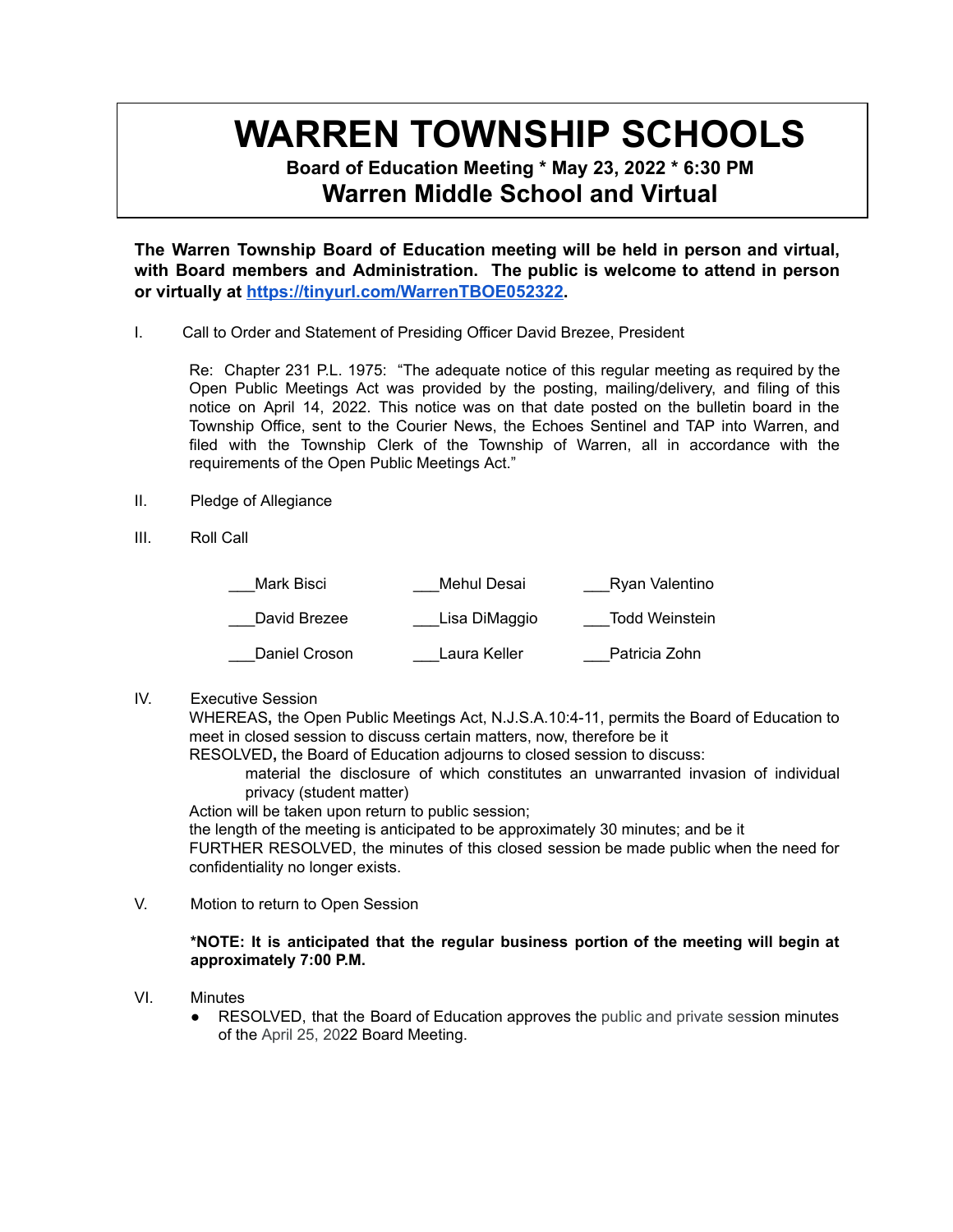# **WARREN TOWNSHIP SCHOOLS**

**Board of Education Meeting \* May 23, 2022 \* 6:30 PM Warren Middle School and Virtual**

**The Warren Township Board of Education meeting will be held in person and virtual, with Board members and Administration. The public is welcome to attend in person or virtually at <https://tinyurl.com/WarrenTBOE052322>.**

I. Call to Order and Statement of Presiding Officer David Brezee, President

Re: Chapter 231 P.L. 1975: "The adequate notice of this regular meeting as required by the Open Public Meetings Act was provided by the posting, mailing/delivery, and filing of this notice on April 14, 2022. This notice was on that date posted on the bulletin board in the Township Office, sent to the Courier News, the Echoes Sentinel and TAP into Warren, and filed with the Township Clerk of the Township of Warren, all in accordance with the requirements of the Open Public Meetings Act."

- II. Pledge of Allegiance
- III. Roll Call

| Mark Bisci    | Mehul Desai   | Ryan Valentino |
|---------------|---------------|----------------|
| David Brezee  | Lisa DiMaggio | Todd Weinstein |
| Daniel Croson | Laura Keller  | Patricia Zohn  |

IV. Executive Session

WHEREAS**,** the Open Public Meetings Act, N.J.S.A.10:4-11, permits the Board of Education to meet in closed session to discuss certain matters, now, therefore be it

RESOLVED**,** the Board of Education adjourns to closed session to discuss:

material the disclosure of which constitutes an unwarranted invasion of individual privacy (student matter)

Action will be taken upon return to public session;

the length of the meeting is anticipated to be approximately 30 minutes; and be it

FURTHER RESOLVED, the minutes of this closed session be made public when the need for confidentiality no longer exists.

V. Motion to return to Open Session

# **\*NOTE: It is anticipated that the regular business portion of the meeting will begin at approximately 7:00 P.M.**

- VI. Minutes
	- RESOLVED, that the Board of Education approves the public and private session minutes of the April 25, 2022 Board Meeting.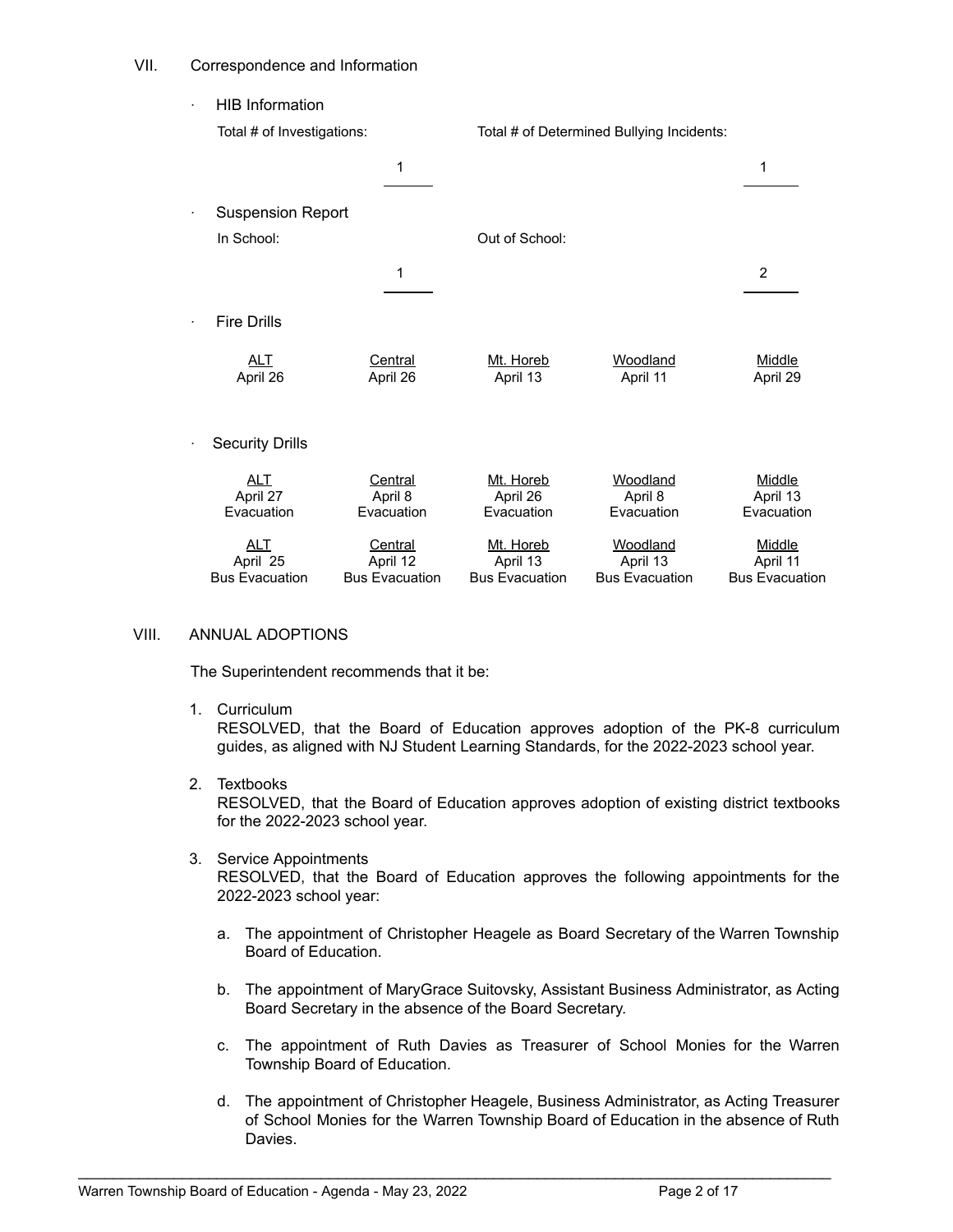## VII. Correspondence and Information

**HIB Information** 

| Total # of Investigations:                      |                                              |                                                | Total # of Determined Bullying Incidents:     |                                             |
|-------------------------------------------------|----------------------------------------------|------------------------------------------------|-----------------------------------------------|---------------------------------------------|
|                                                 | 1                                            |                                                |                                               | 1                                           |
| <b>Suspension Report</b>                        |                                              |                                                |                                               |                                             |
| In School:                                      |                                              | Out of School:                                 |                                               |                                             |
|                                                 | 1                                            |                                                |                                               | 2                                           |
| <b>Fire Drills</b>                              |                                              |                                                |                                               |                                             |
| ALT<br>April 26                                 | Central<br>April 26                          | Mt. Horeb<br>April 13                          | Woodland<br>April 11                          | Middle<br>April 29                          |
| <b>Security Drills</b>                          |                                              |                                                |                                               |                                             |
| <b>ALT</b><br>April 27<br>Evacuation            | Central<br>April 8<br>Evacuation             | Mt. Horeb<br>April 26<br>Evacuation            | Woodland<br>April 8<br>Evacuation             | <b>Middle</b><br>April 13<br>Evacuation     |
| <b>ALT</b><br>April 25<br><b>Bus Evacuation</b> | Central<br>April 12<br><b>Bus Evacuation</b> | Mt. Horeb<br>April 13<br><b>Bus Evacuation</b> | Woodland<br>April 13<br><b>Bus Evacuation</b> | Middle<br>April 11<br><b>Bus Evacuation</b> |

## VIII. ANNUAL ADOPTIONS

The Superintendent recommends that it be:

1. Curriculum

RESOLVED, that the Board of Education approves adoption of the PK-8 curriculum guides, as aligned with NJ Student Learning Standards, for the 2022-2023 school year.

2. Textbooks

RESOLVED, that the Board of Education approves adoption of existing district textbooks for the 2022-2023 school year.

- 3. Service Appointments RESOLVED, that the Board of Education approves the following appointments for the 2022-2023 school year:
	- a. The appointment of Christopher Heagele as Board Secretary of the Warren Township Board of Education.
	- b. The appointment of MaryGrace Suitovsky, Assistant Business Administrator, as Acting Board Secretary in the absence of the Board Secretary.
	- c. The appointment of Ruth Davies as Treasurer of School Monies for the Warren Township Board of Education.
	- d. The appointment of Christopher Heagele, Business Administrator, as Acting Treasurer of School Monies for the Warren Township Board of Education in the absence of Ruth Davies.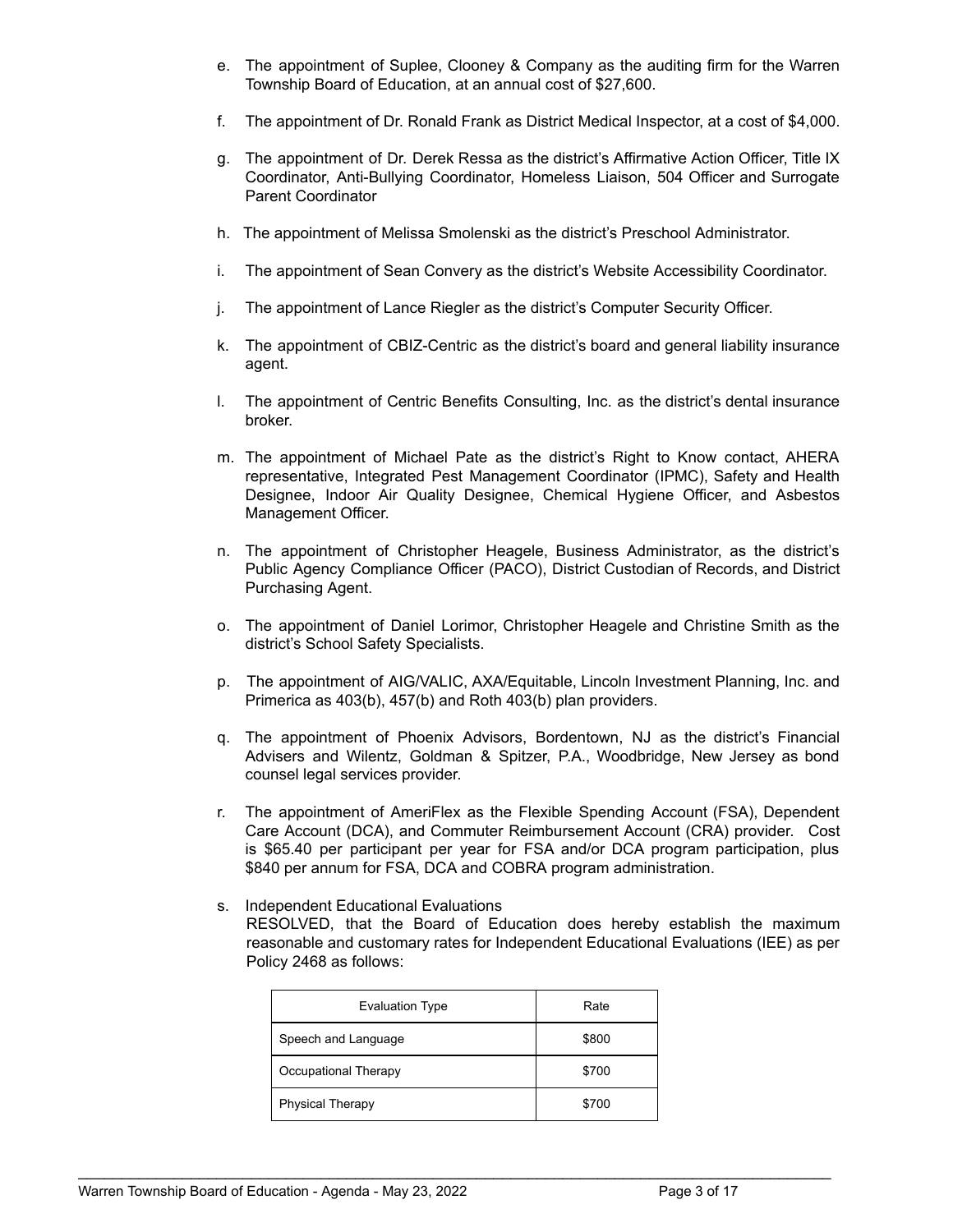- e. The appointment of Suplee, Clooney & Company as the auditing firm for the Warren Township Board of Education, at an annual cost of \$27,600.
- f. The appointment of Dr. Ronald Frank as District Medical Inspector, at a cost of \$4,000.
- g. The appointment of Dr. Derek Ressa as the district's Affirmative Action Officer, Title IX Coordinator, Anti-Bullying Coordinator, Homeless Liaison, 504 Officer and Surrogate Parent Coordinator
- h. The appointment of Melissa Smolenski as the district's Preschool Administrator.
- i. The appointment of Sean Convery as the district's Website Accessibility Coordinator.
- j. The appointment of Lance Riegler as the district's Computer Security Officer.
- k. The appointment of CBIZ-Centric as the district's board and general liability insurance agent.
- l. The appointment of Centric Benefits Consulting, Inc. as the district's dental insurance broker.
- m. The appointment of Michael Pate as the district's Right to Know contact, AHERA representative, Integrated Pest Management Coordinator (IPMC), Safety and Health Designee, Indoor Air Quality Designee, Chemical Hygiene Officer, and Asbestos Management Officer.
- n. The appointment of Christopher Heagele, Business Administrator, as the district's Public Agency Compliance Officer (PACO), District Custodian of Records, and District Purchasing Agent.
- o. The appointment of Daniel Lorimor, Christopher Heagele and Christine Smith as the district's School Safety Specialists.
- p. The appointment of AIG/VALIC, AXA/Equitable, Lincoln Investment Planning, Inc. and Primerica as 403(b), 457(b) and Roth 403(b) plan providers.
- q. The appointment of Phoenix Advisors, Bordentown, NJ as the district's Financial Advisers and Wilentz, Goldman & Spitzer, P.A., Woodbridge, New Jersey as bond counsel legal services provider.
- r. The appointment of AmeriFlex as the Flexible Spending Account (FSA), Dependent Care Account (DCA), and Commuter Reimbursement Account (CRA) provider. Cost is \$65.40 per participant per year for FSA and/or DCA program participation, plus \$840 per annum for FSA, DCA and COBRA program administration.
- s. Independent Educational Evaluations RESOLVED, that the Board of Education does hereby establish the maximum reasonable and customary rates for Independent Educational Evaluations (IEE) as per Policy 2468 as follows:

| <b>Evaluation Type</b>  | Rate  |
|-------------------------|-------|
| Speech and Language     | \$800 |
| Occupational Therapy    | \$700 |
| <b>Physical Therapy</b> | \$700 |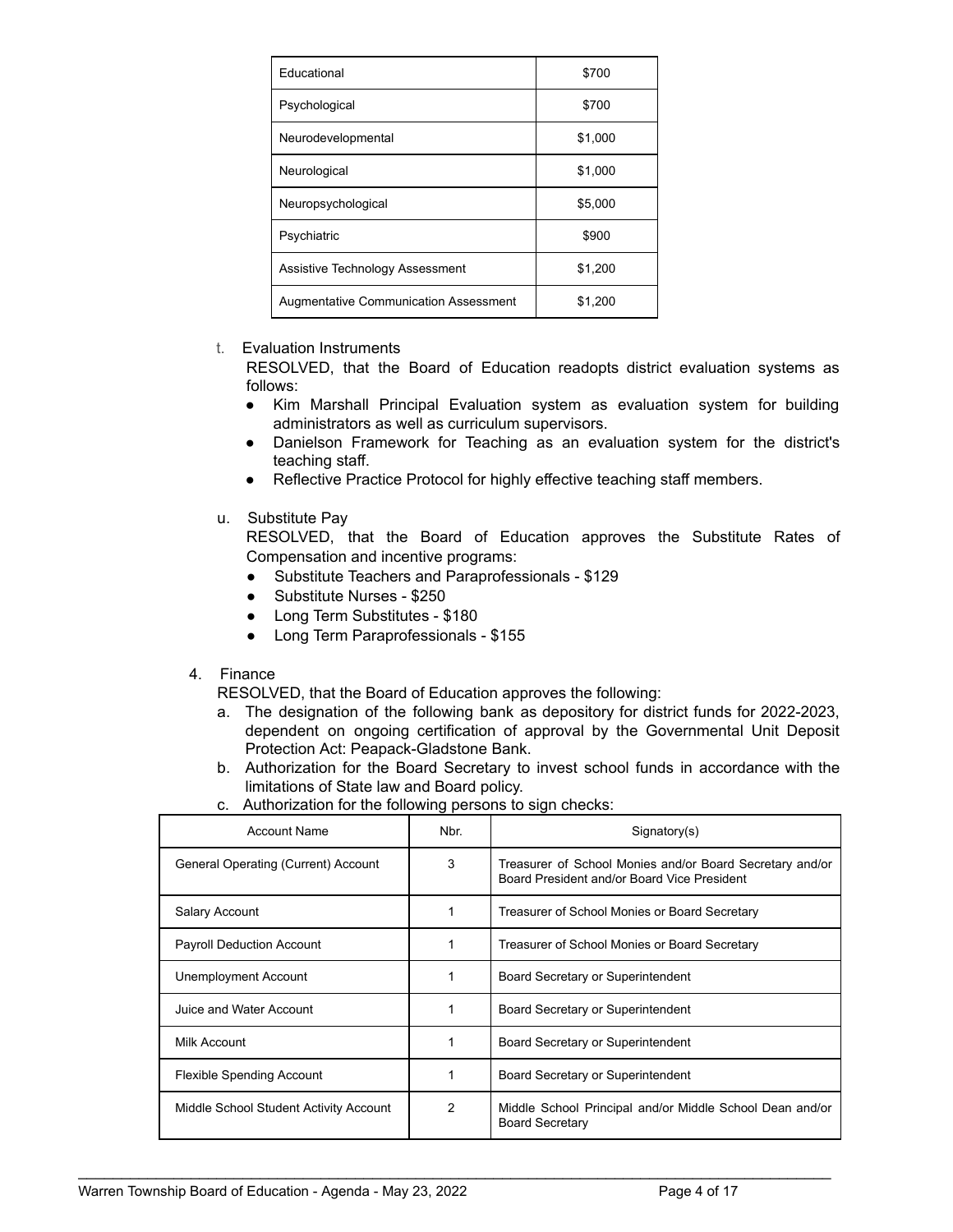| Educational                                  | \$700   |
|----------------------------------------------|---------|
| Psychological                                | \$700   |
| Neurodevelopmental                           | \$1,000 |
| Neurological                                 | \$1,000 |
| Neuropsychological                           | \$5,000 |
| Psychiatric                                  | \$900   |
| Assistive Technology Assessment              | \$1,200 |
| <b>Augmentative Communication Assessment</b> | \$1.200 |

## t. Evaluation Instruments

RESOLVED, that the Board of Education readopts district evaluation systems as follows:

- Kim Marshall Principal Evaluation system as evaluation system for building administrators as well as curriculum supervisors.
- Danielson Framework for Teaching as an evaluation system for the district's teaching staff.
- Reflective Practice Protocol for highly effective teaching staff members.
- u. Substitute Pay

RESOLVED, that the Board of Education approves the Substitute Rates of Compensation and incentive programs:

- Substitute Teachers and Paraprofessionals \$129
- Substitute Nurses \$250
- Long Term Substitutes \$180
- Long Term Paraprofessionals \$155

## 4. Finance

RESOLVED, that the Board of Education approves the following:

- a. The designation of the following bank as depository for district funds for 2022-2023, dependent on ongoing certification of approval by the Governmental Unit Deposit Protection Act: Peapack-Gladstone Bank.
- b. Authorization for the Board Secretary to invest school funds in accordance with the limitations of State law and Board policy.
- c. Authorization for the following persons to sign checks:

| <b>Account Name</b>                    | Nbr. | Signatory(s)                                                                                            |
|----------------------------------------|------|---------------------------------------------------------------------------------------------------------|
| General Operating (Current) Account    | 3    | Treasurer of School Monies and/or Board Secretary and/or<br>Board President and/or Board Vice President |
| Salary Account                         |      | Treasurer of School Monies or Board Secretary                                                           |
| <b>Payroll Deduction Account</b>       |      | Treasurer of School Monies or Board Secretary                                                           |
| Unemployment Account                   |      | Board Secretary or Superintendent                                                                       |
| Juice and Water Account                |      | Board Secretary or Superintendent                                                                       |
| Milk Account                           |      | Board Secretary or Superintendent                                                                       |
| <b>Flexible Spending Account</b>       |      | Board Secretary or Superintendent                                                                       |
| Middle School Student Activity Account | 2    | Middle School Principal and/or Middle School Dean and/or<br><b>Board Secretary</b>                      |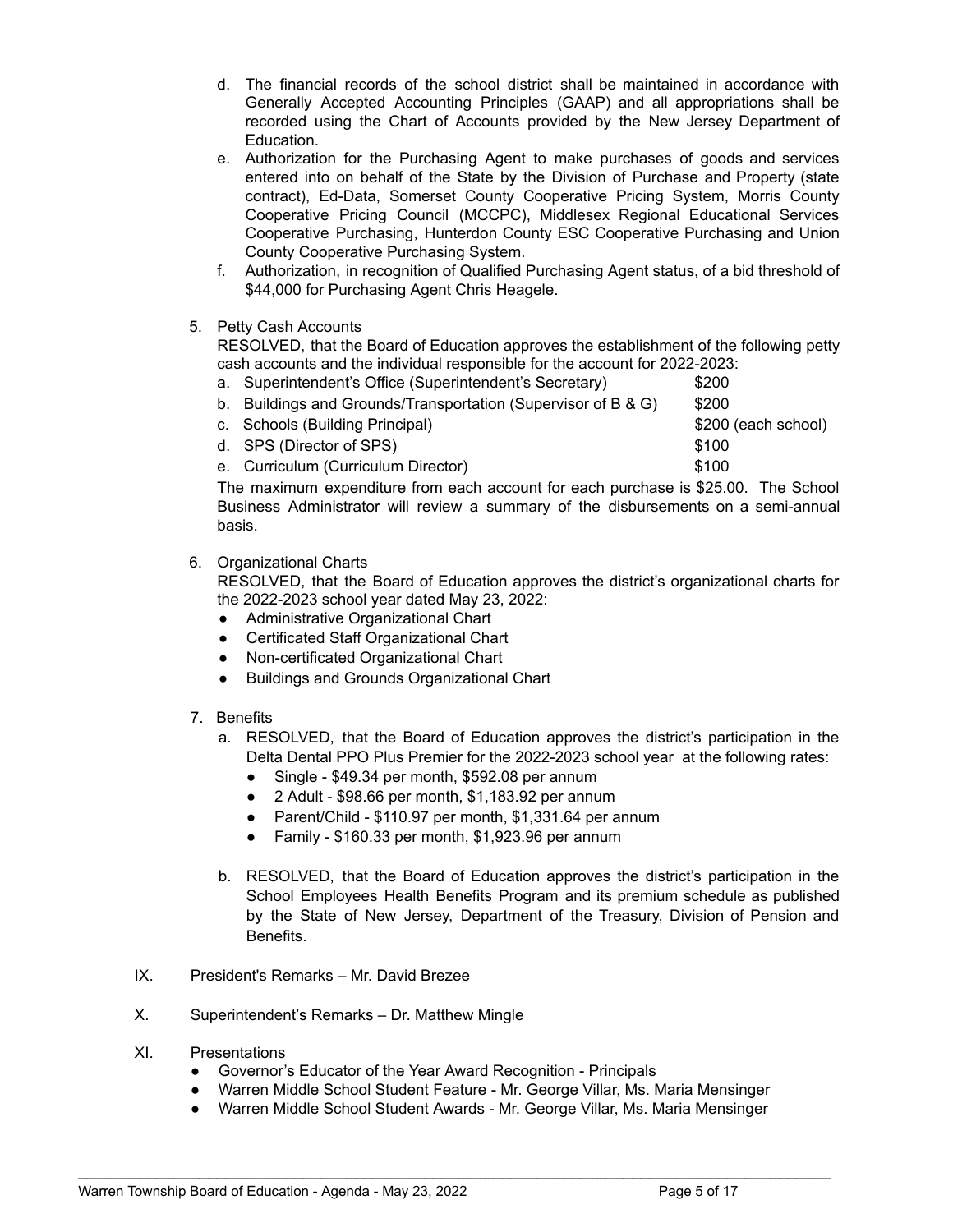- d. The financial records of the school district shall be maintained in accordance with Generally Accepted Accounting Principles (GAAP) and all appropriations shall be recorded using the Chart of Accounts provided by the New Jersey Department of Education.
- e. Authorization for the Purchasing Agent to make purchases of goods and services entered into on behalf of the State by the Division of Purchase and Property (state contract), Ed-Data, Somerset County Cooperative Pricing System, Morris County Cooperative Pricing Council (MCCPC), Middlesex Regional Educational Services Cooperative Purchasing, Hunterdon County ESC Cooperative Purchasing and Union County Cooperative Purchasing System.
- f. Authorization, in recognition of Qualified Purchasing Agent status, of a bid threshold of \$44,000 for Purchasing Agent Chris Heagele.

# 5. Petty Cash Accounts

RESOLVED, that the Board of Education approves the establishment of the following petty cash accounts and the individual responsible for the account for 2022-2023:

|  | a. Superintendent's Office (Superintendent's Secretary)                 | \$200               |          |
|--|-------------------------------------------------------------------------|---------------------|----------|
|  | b. Buildings and Grounds/Transportation (Supervisor of B & G)           | \$200               |          |
|  | c. Schools (Building Principal)                                         | \$200 (each school) |          |
|  | d. SPS (Director of SPS)                                                | \$100               |          |
|  | e. Curriculum (Curriculum Director)                                     | \$100               |          |
|  | The maximum expenditure from each account for each purchase is $$25,00$ |                     | The Scho |

The maximum expenditure from each account for each purchase is \$25.00. The School Business Administrator will review a summary of the disbursements on a semi-annual basis.

# 6. Organizational Charts

RESOLVED, that the Board of Education approves the district's organizational charts for the 2022-2023 school year dated May 23, 2022:

- Administrative Organizational Chart
- Certificated Staff Organizational Chart
- Non-certificated Organizational Chart
- Buildings and Grounds Organizational Chart
- 7. Benefits
	- a. RESOLVED, that the Board of Education approves the district's participation in the Delta Dental PPO Plus Premier for the 2022-2023 school year at the following rates:
		- Single \$49.34 per month, \$592.08 per annum
		- 2 Adult \$98.66 per month, \$1,183.92 per annum
		- Parent/Child \$110.97 per month, \$1,331.64 per annum
		- $\bullet$  Family \$160.33 per month, \$1,923.96 per annum
	- b. RESOLVED, that the Board of Education approves the district's participation in the School Employees Health Benefits Program and its premium schedule as published by the State of New Jersey, Department of the Treasury, Division of Pension and Benefits.
- IX. President's Remarks Mr. David Brezee
- X. Superintendent's Remarks Dr. Matthew Mingle
- XI. Presentations
	- Governor's Educator of the Year Award Recognition Principals
	- Warren Middle School Student Feature Mr. George Villar, Ms. Maria Mensinger
	- Warren Middle School Student Awards Mr. George Villar, Ms. Maria Mensinger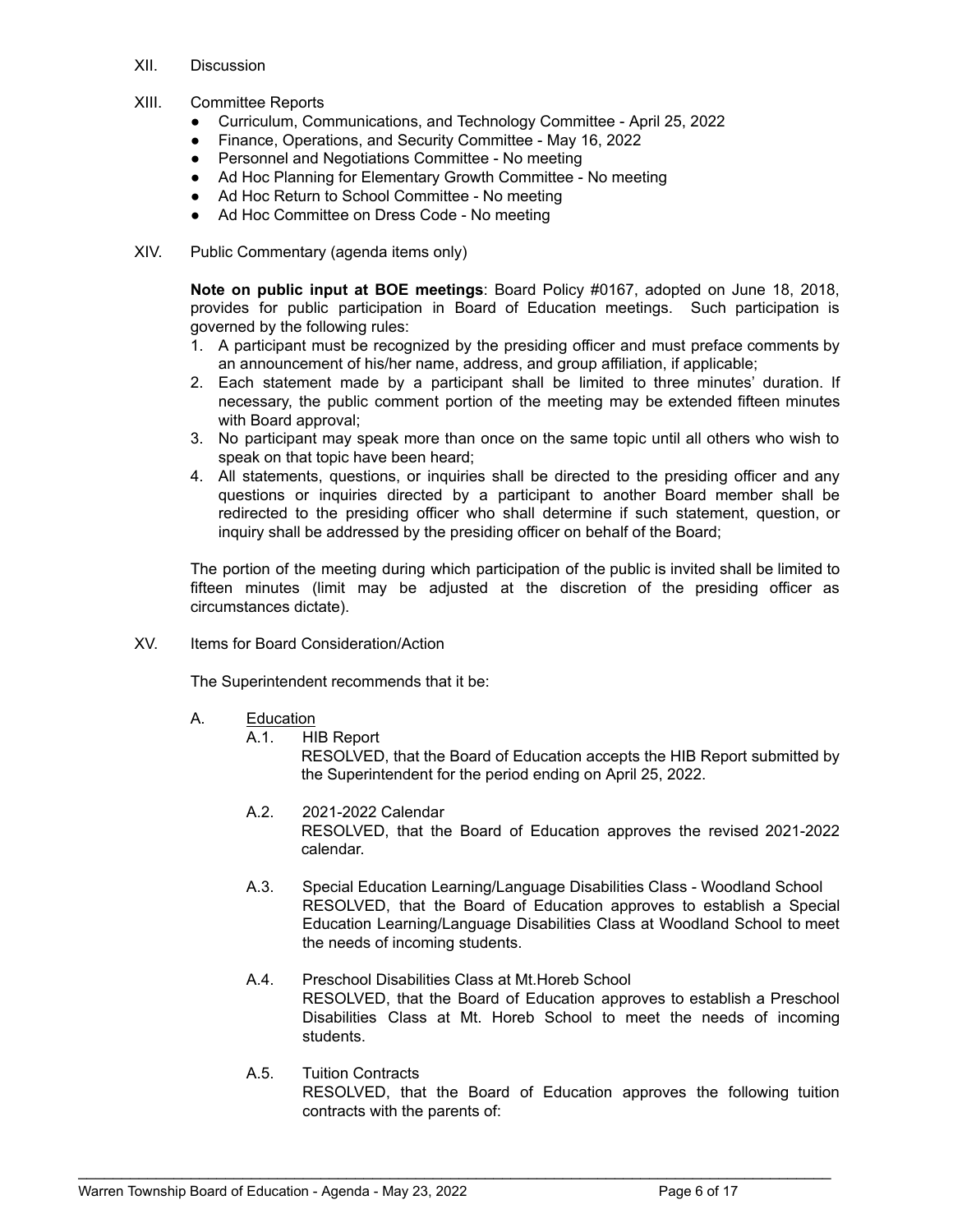- XII. Discussion
- XIII. Committee Reports
	- Curriculum, Communications, and Technology Committee April 25, 2022
	- Finance, Operations, and Security Committee May 16, 2022
	- Personnel and Negotiations Committee No meeting
	- Ad Hoc Planning for Elementary Growth Committee No meeting
	- Ad Hoc Return to School Committee No meeting
	- Ad Hoc Committee on Dress Code No meeting
- XIV. Public Commentary (agenda items only)

**Note on public input at BOE meetings**: Board Policy #0167, adopted on June 18, 2018, provides for public participation in Board of Education meetings. Such participation is governed by the following rules:

- 1. A participant must be recognized by the presiding officer and must preface comments by an announcement of his/her name, address, and group affiliation, if applicable;
- 2. Each statement made by a participant shall be limited to three minutes' duration. If necessary, the public comment portion of the meeting may be extended fifteen minutes with Board approval;
- 3. No participant may speak more than once on the same topic until all others who wish to speak on that topic have been heard;
- 4. All statements, questions, or inquiries shall be directed to the presiding officer and any questions or inquiries directed by a participant to another Board member shall be redirected to the presiding officer who shall determine if such statement, question, or inquiry shall be addressed by the presiding officer on behalf of the Board;

The portion of the meeting during which participation of the public is invited shall be limited to fifteen minutes (limit may be adjusted at the discretion of the presiding officer as circumstances dictate).

XV. Items for Board Consideration/Action

The Superintendent recommends that it be:

- A. Education
	- A.1. HIB Report

RESOLVED, that the Board of Education accepts the HIB Report submitted by the Superintendent for the period ending on April 25, 2022.

- A.2. 2021-2022 Calendar RESOLVED, that the Board of Education approves the revised 2021-2022 calendar.
- A.3. Special Education Learning/Language Disabilities Class Woodland School RESOLVED, that the Board of Education approves to establish a Special Education Learning/Language Disabilities Class at Woodland School to meet the needs of incoming students.
- A.4. Preschool Disabilities Class at Mt.Horeb School RESOLVED, that the Board of Education approves to establish a Preschool Disabilities Class at Mt. Horeb School to meet the needs of incoming students.
- A.5. Tuition Contracts RESOLVED, that the Board of Education approves the following tuition contracts with the parents of: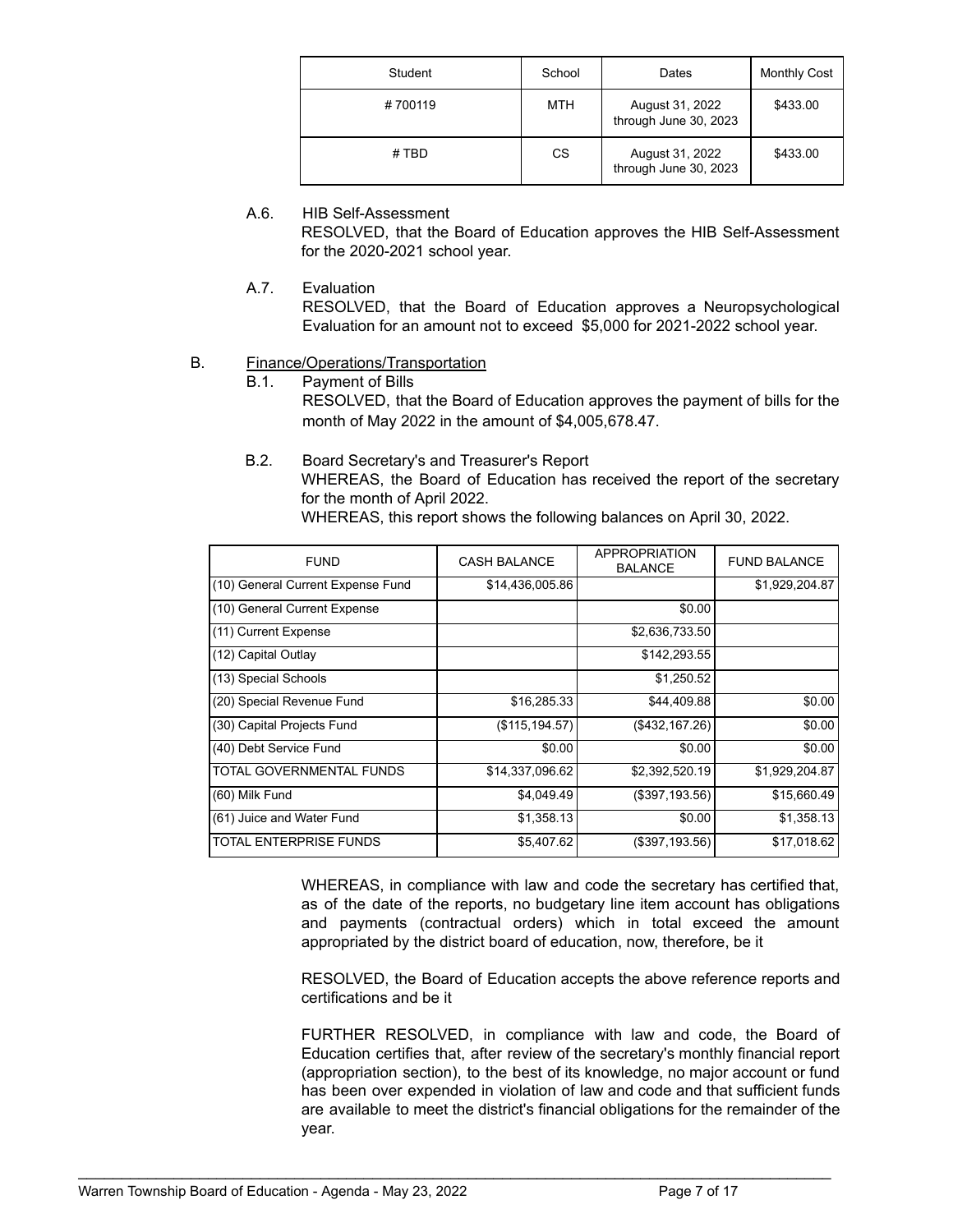| Student | School     | Dates                                    | <b>Monthly Cost</b> |
|---------|------------|------------------------------------------|---------------------|
| #700119 | <b>MTH</b> | August 31, 2022<br>through June 30, 2023 | \$433.00            |
| #TBD    | CS         | August 31, 2022<br>through June 30, 2023 | \$433.00            |

A.6. HIB Self-Assessment RESOLVED, that the Board of Education approves the HIB Self-Assessment for the 2020-2021 school year.

A.7. Evaluation

RESOLVED, that the Board of Education approves a Neuropsychological Evaluation for an amount not to exceed \$5,000 for 2021-2022 school year.

# B. Finance/Operations/Transportation

B.1. Payment of Bills

RESOLVED, that the Board of Education approves the payment of bills for the month of May 2022 in the amount of \$4,005,678.47.

B.2. Board Secretary's and Treasurer's Report

WHEREAS, the Board of Education has received the report of the secretary for the month of April 2022.

WHEREAS, this report shows the following balances on April 30, 2022.

| <b>FUND</b>                       | <b>CASH BALANCE</b> | APPROPRIATION<br><b>BALANCE</b> | <b>FUND BALANCE</b> |
|-----------------------------------|---------------------|---------------------------------|---------------------|
| (10) General Current Expense Fund | \$14,436,005.86     |                                 | \$1,929,204.87      |
| (10) General Current Expense      |                     | \$0.00                          |                     |
| (11) Current Expense              |                     | \$2,636,733.50                  |                     |
| (12) Capital Outlay               |                     | \$142,293.55                    |                     |
| (13) Special Schools              |                     | \$1,250.52                      |                     |
| (20) Special Revenue Fund         | \$16,285.33         | \$44,409.88                     | \$0.00              |
| (30) Capital Projects Fund        | (\$115, 194.57)     | (\$432,167.26)                  | \$0.00              |
| (40) Debt Service Fund            | \$0.00              | \$0.00                          | \$0.00              |
| TOTAL GOVERNMENTAL FUNDS          | \$14,337,096.62     | \$2,392,520.19                  | \$1,929,204.87      |
| (60) Milk Fund                    | \$4,049.49          | (\$397,193.56)                  | \$15,660.49         |
| (61) Juice and Water Fund         | \$1,358.13          | \$0.00                          | \$1,358.13          |
| <b>TOTAL ENTERPRISE FUNDS</b>     | \$5,407.62          | (\$397,193.56)                  | \$17,018.62         |

WHEREAS, in compliance with law and code the secretary has certified that, as of the date of the reports, no budgetary line item account has obligations and payments (contractual orders) which in total exceed the amount appropriated by the district board of education, now, therefore, be it

RESOLVED, the Board of Education accepts the above reference reports and certifications and be it

FURTHER RESOLVED, in compliance with law and code, the Board of Education certifies that, after review of the secretary's monthly financial report (appropriation section), to the best of its knowledge, no major account or fund has been over expended in violation of law and code and that sufficient funds are available to meet the district's financial obligations for the remainder of the year.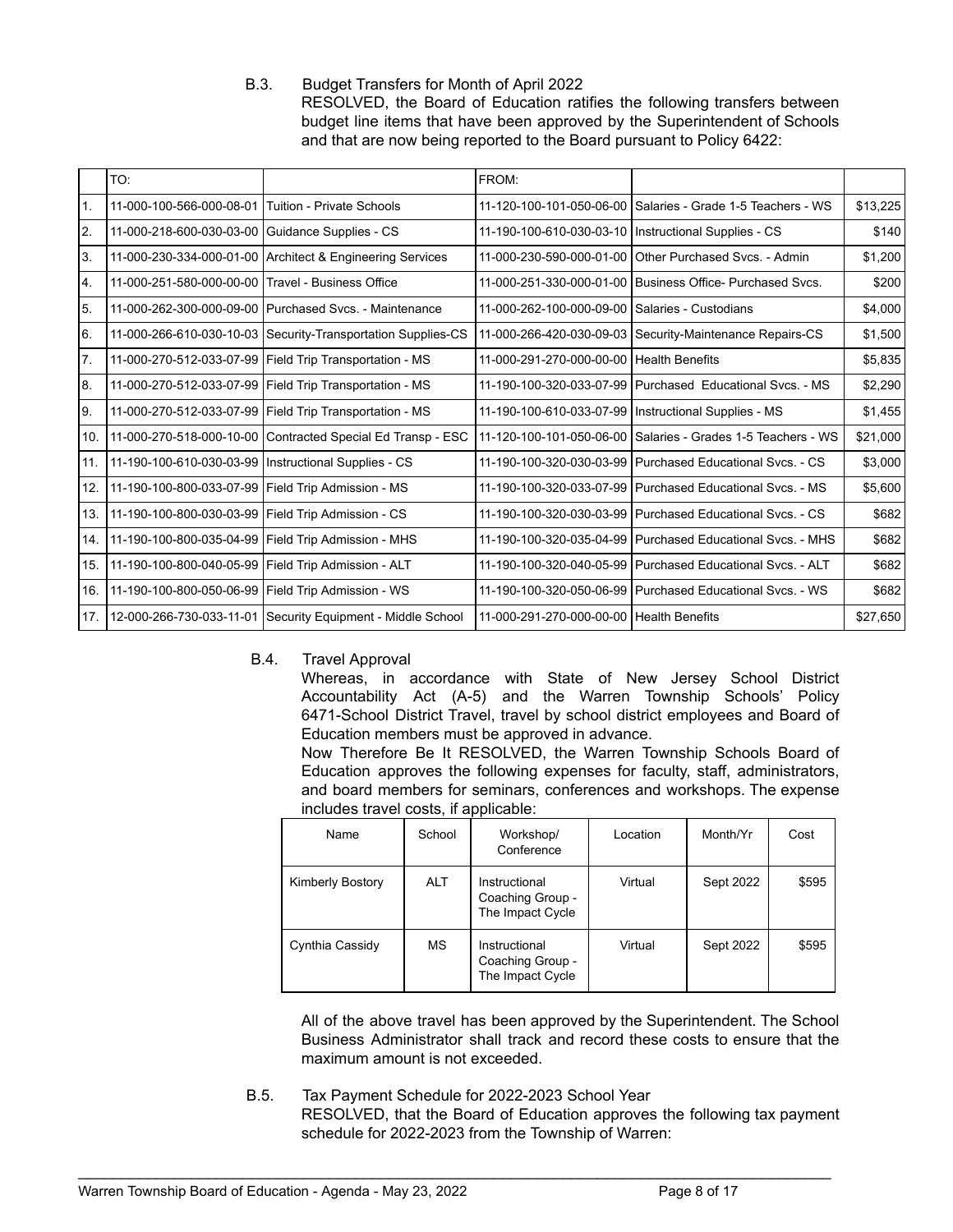B.3. Budget Transfers for Month of April 2022 RESOLVED, the Board of Education ratifies the following transfers between budget line items that have been approved by the Superintendent of Schools and that are now being reported to the Board pursuant to Policy 6422:

|     | TO:                      |                                                              | FROM:                                                  |                                                              |          |
|-----|--------------------------|--------------------------------------------------------------|--------------------------------------------------------|--------------------------------------------------------------|----------|
| 1.  | 11-000-100-566-000-08-01 | <b>Tuition - Private Schools</b>                             | 11-120-100-101-050-06-00                               | Salaries - Grade 1-5 Teachers - WS                           | \$13,225 |
| 2.  | 11-000-218-600-030-03-00 | Guidance Supplies - CS                                       | 11-190-100-610-030-03-10   Instructional Supplies - CS |                                                              | \$140    |
| 3.  | 11-000-230-334-000-01-00 | Architect & Engineering Services                             |                                                        | 11-000-230-590-000-01-00 Other Purchased Svcs. - Admin       | \$1,200  |
| 4.  | 11-000-251-580-000-00-00 | Travel - Business Office                                     |                                                        | 11-000-251-330-000-01-00 Business Office- Purchased Sycs.    | \$200    |
| 5.  | 11-000-262-300-000-09-00 | Purchased Svcs. - Maintenance                                | 11-000-262-100-000-09-00                               | Salaries - Custodians                                        | \$4,000  |
| 6.  |                          | 11-000-266-610-030-10-03 Security-Transportation Supplies-CS |                                                        | 11-000-266-420-030-09-03 Security-Maintenance Repairs-CS     | \$1,500  |
| 7.  | 11-000-270-512-033-07-99 | Field Trip Transportation - MS                               | 11-000-291-270-000-00-00 Health Benefits               |                                                              | \$5,835  |
| 8.  | 11-000-270-512-033-07-99 | Field Trip Transportation - MS                               |                                                        | 11-190-100-320-033-07-99   Purchased Educational Svcs. - MS  | \$2,290  |
| 9.  | 11-000-270-512-033-07-99 | Field Trip Transportation - MS                               |                                                        | 11-190-100-610-033-07-99   Instructional Supplies - MS       | \$1,455  |
| 10. | 11-000-270-518-000-10-00 | Contracted Special Ed Transp - ESC                           |                                                        | 11-120-100-101-050-06-00 Salaries - Grades 1-5 Teachers - WS | \$21,000 |
| 11. | 11-190-100-610-030-03-99 | Instructional Supplies - CS                                  |                                                        | 11-190-100-320-030-03-99 Purchased Educational Sycs. - CS    | \$3,000  |
| 12. | 11-190-100-800-033-07-99 | Field Trip Admission - MS                                    |                                                        | 11-190-100-320-033-07-99 Purchased Educational Sycs. - MS    | \$5,600  |
| 13. | 11-190-100-800-030-03-99 | Field Trip Admission - CS                                    |                                                        | 11-190-100-320-030-03-99 Purchased Educational Sycs. - CS    | \$682    |
| 14. | 11-190-100-800-035-04-99 | Field Trip Admission - MHS                                   |                                                        | 11-190-100-320-035-04-99   Purchased Educational Svcs. - MHS | \$682    |
| 15. | 11-190-100-800-040-05-99 | Field Trip Admission - ALT                                   |                                                        | 11-190-100-320-040-05-99   Purchased Educational Sycs. - ALT | \$682    |
| 16. | 11-190-100-800-050-06-99 | Field Trip Admission - WS                                    |                                                        | 11-190-100-320-050-06-99 Purchased Educational Svcs. - WS    | \$682    |
| 17. | 12-000-266-730-033-11-01 | Security Equipment - Middle School                           | 11-000-291-270-000-00-00 Health Benefits               |                                                              | \$27,650 |

B.4. Travel Approval

Whereas, in accordance with State of New Jersey School District Accountability Act (A-5) and the Warren Township Schools' Policy 6471-School District Travel, travel by school district employees and Board of Education members must be approved in advance.

Now Therefore Be It RESOLVED, the Warren Township Schools Board of Education approves the following expenses for faculty, staff, administrators, and board members for seminars, conferences and workshops. The expense includes travel costs, if applicable:

| Name                    | School     | Workshop/<br>Conference                               | Location | Month/Yr  | Cost  |
|-------------------------|------------|-------------------------------------------------------|----------|-----------|-------|
| <b>Kimberly Bostory</b> | <b>ALT</b> | Instructional<br>Coaching Group -<br>The Impact Cycle | Virtual  | Sept 2022 | \$595 |
| Cynthia Cassidy         | <b>MS</b>  | Instructional<br>Coaching Group -<br>The Impact Cycle | Virtual  | Sept 2022 | \$595 |

All of the above travel has been approved by the Superintendent. The School Business Administrator shall track and record these costs to ensure that the maximum amount is not exceeded.

B.5. Tax Payment Schedule for 2022-2023 School Year RESOLVED, that the Board of Education approves the following tax payment schedule for 2022-2023 from the Township of Warren: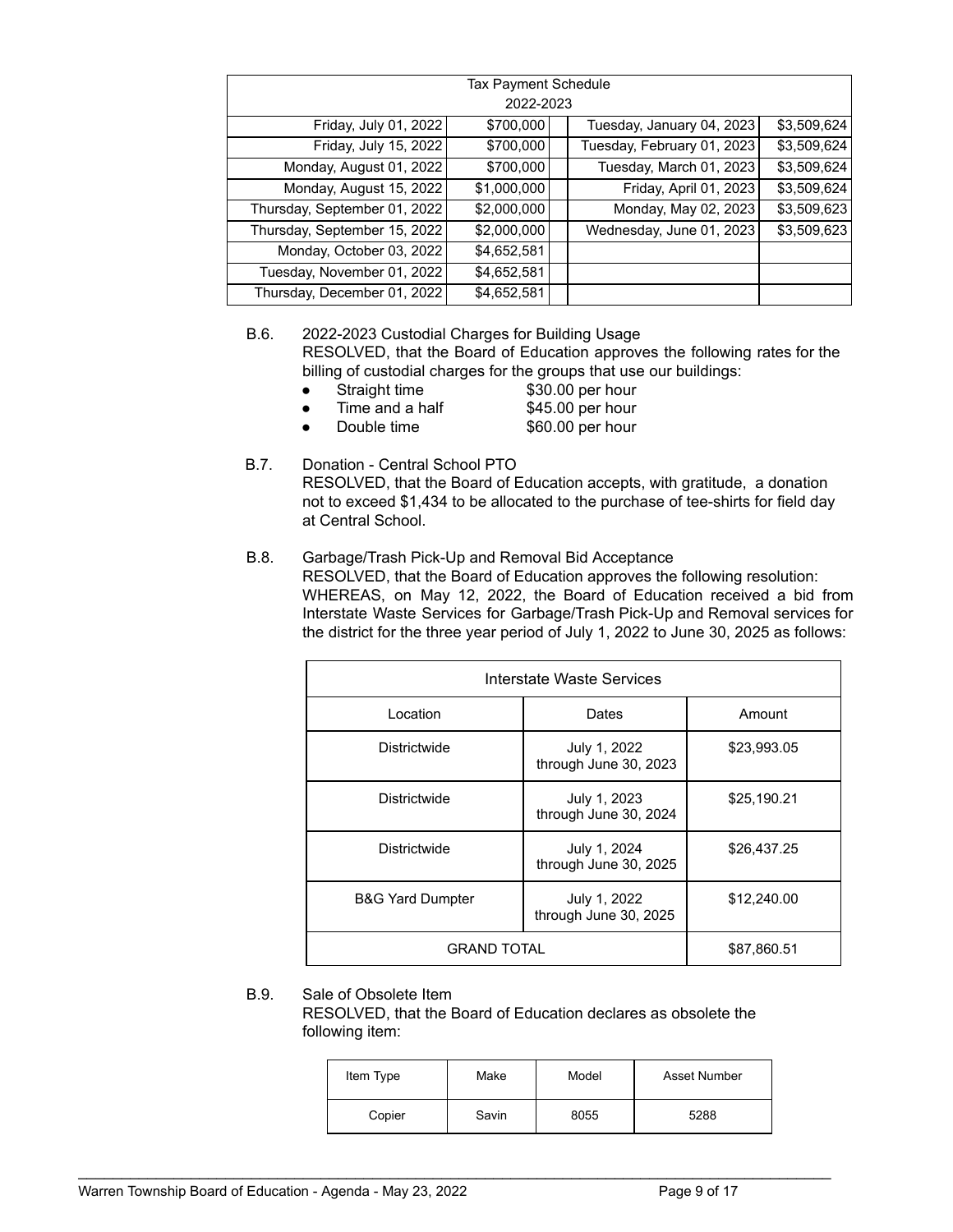| Tax Payment Schedule         |             |  |                            |             |
|------------------------------|-------------|--|----------------------------|-------------|
|                              | 2022-2023   |  |                            |             |
| Friday, July 01, 2022        | \$700,000   |  | Tuesday, January 04, 2023  | \$3,509,624 |
| Friday, July 15, 2022        | \$700,000   |  | Tuesday, February 01, 2023 | \$3,509,624 |
| Monday, August 01, 2022      | \$700,000   |  | Tuesday, March 01, 2023    | \$3,509,624 |
| Monday, August 15, 2022      | \$1,000,000 |  | Friday, April 01, 2023     | \$3,509,624 |
| Thursday, September 01, 2022 | \$2,000,000 |  | Monday, May 02, 2023       | \$3,509,623 |
| Thursday, September 15, 2022 | \$2,000,000 |  | Wednesday, June 01, 2023   | \$3,509,623 |
| Monday, October 03, 2022     | \$4,652,581 |  |                            |             |
| Tuesday, November 01, 2022   | \$4,652,581 |  |                            |             |
| Thursday, December 01, 2022  | \$4,652,581 |  |                            |             |

# B.6. 2022-2023 Custodial Charges for Building Usage RESOLVED, that the Board of Education approves the following rates for the billing of custodial charges for the groups that use our buildings:

- Straight time \$30.00 per hour
- Time and a half \$45.00 per hour
- Double time \$60.00 per hour
	-

# B.7. Donation - Central School PTO RESOLVED, that the Board of Education accepts, with gratitude, a donation not to exceed \$1,434 to be allocated to the purchase of tee-shirts for field day at Central School.

## B.8. Garbage/Trash Pick-Up and Removal Bid Acceptance RESOLVED, that the Board of Education approves the following resolution: WHEREAS, on May 12, 2022, the Board of Education received a bid from Interstate Waste Services for Garbage/Trash Pick-Up and Removal services for the district for the three year period of July 1, 2022 to June 30, 2025 as follows:

| Interstate Waste Services                                            |                                       |             |  |  |  |
|----------------------------------------------------------------------|---------------------------------------|-------------|--|--|--|
| Location                                                             | Dates                                 | Amount      |  |  |  |
| Districtwide                                                         | July 1, 2022<br>through June 30, 2023 | \$23,993.05 |  |  |  |
| Districtwide                                                         | July 1, 2023<br>through June 30, 2024 | \$25,190.21 |  |  |  |
| <b>Districtwide</b>                                                  | July 1, 2024<br>through June 30, 2025 | \$26,437.25 |  |  |  |
| <b>B&amp;G Yard Dumpter</b><br>July 1, 2022<br>through June 30, 2025 |                                       | \$12,240.00 |  |  |  |
| <b>GRAND TOTAL</b>                                                   | \$87,860.51                           |             |  |  |  |

# B.9. Sale of Obsolete Item

RESOLVED, that the Board of Education declares as obsolete the following item:

| Item Type | Make  | Model | Asset Number |
|-----------|-------|-------|--------------|
| Copier    | Savin | 8055  | 5288         |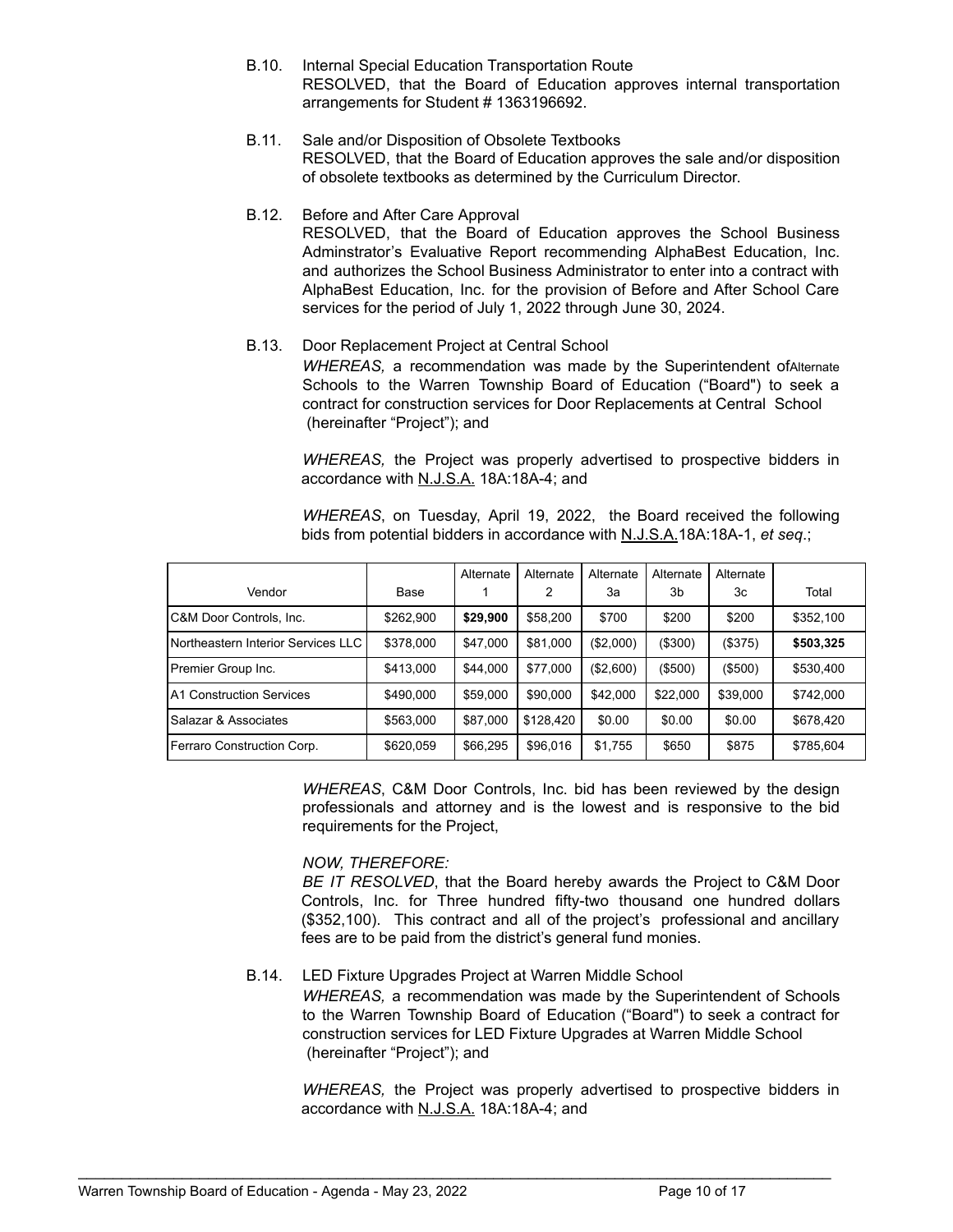- B.10. Internal Special Education Transportation Route RESOLVED, that the Board of Education approves internal transportation arrangements for Student # 1363196692.
- B.11. Sale and/or Disposition of Obsolete Textbooks RESOLVED, that the Board of Education approves the sale and/or disposition of obsolete textbooks as determined by the Curriculum Director.
- B.12. Before and After Care Approval RESOLVED, that the Board of Education approves the School Business Adminstrator's Evaluative Report recommending AlphaBest Education, Inc. and authorizes the School Business Administrator to enter into a contract with AlphaBest Education, Inc. for the provision of Before and After School Care services for the period of July 1, 2022 through June 30, 2024.

## B.13. Door Replacement Project at Central School

*WHEREAS,* a recommendation was made by the Superintendent ofAlternate Schools to the Warren Township Board of Education ("Board") to seek a contract for construction services for Door Replacements at Central School (hereinafter "Project"); and

*WHEREAS,* the Project was properly advertised to prospective bidders in accordance with N.J.S.A. 18A:18A-4; and

*WHEREAS*, on Tuesday, April 19, 2022, the Board received the following bids from potential bidders in accordance with N.J.S.A.18A:18A-1, *et seq*.;

|                                    |           | Alternate | Alternate | Alternate | Alternate  | Alternate |           |
|------------------------------------|-----------|-----------|-----------|-----------|------------|-----------|-----------|
| Vendor                             | Base      |           | 2         | 3a        | 3b         | Зc        | Total     |
| C&M Door Controls, Inc.            | \$262,900 | \$29,900  | \$58.200  | \$700     | \$200      | \$200     | \$352,100 |
| Northeastern Interior Services LLC | \$378,000 | \$47,000  | \$81.000  | (\$2,000) | ( \$300)   | (\$375)   | \$503,325 |
| Premier Group Inc.                 | \$413,000 | \$44,000  | \$77,000  | (\$2,600) | $($ \$500) | (\$500)   | \$530,400 |
| A1 Construction Services           | \$490,000 | \$59,000  | \$90,000  | \$42.000  | \$22,000   | \$39,000  | \$742,000 |
| Salazar & Associates               | \$563,000 | \$87,000  | \$128,420 | \$0.00    | \$0.00     | \$0.00    | \$678,420 |
| Ferraro Construction Corp.         | \$620,059 | \$66,295  | \$96,016  | \$1,755   | \$650      | \$875     | \$785,604 |

*WHEREAS*, C&M Door Controls, Inc. bid has been reviewed by the design professionals and attorney and is the lowest and is responsive to the bid requirements for the Project,

# *NOW, THEREFORE:*

*BE IT RESOLVED*, that the Board hereby awards the Project to C&M Door Controls, Inc. for Three hundred fifty-two thousand one hundred dollars (\$352,100). This contract and all of the project's professional and ancillary fees are to be paid from the district's general fund monies.

# B.14. LED Fixture Upgrades Project at Warren Middle School

*WHEREAS,* a recommendation was made by the Superintendent of Schools to the Warren Township Board of Education ("Board") to seek a contract for construction services for LED Fixture Upgrades at Warren Middle School (hereinafter "Project"); and

*WHEREAS,* the Project was properly advertised to prospective bidders in accordance with N.J.S.A. 18A:18A-4; and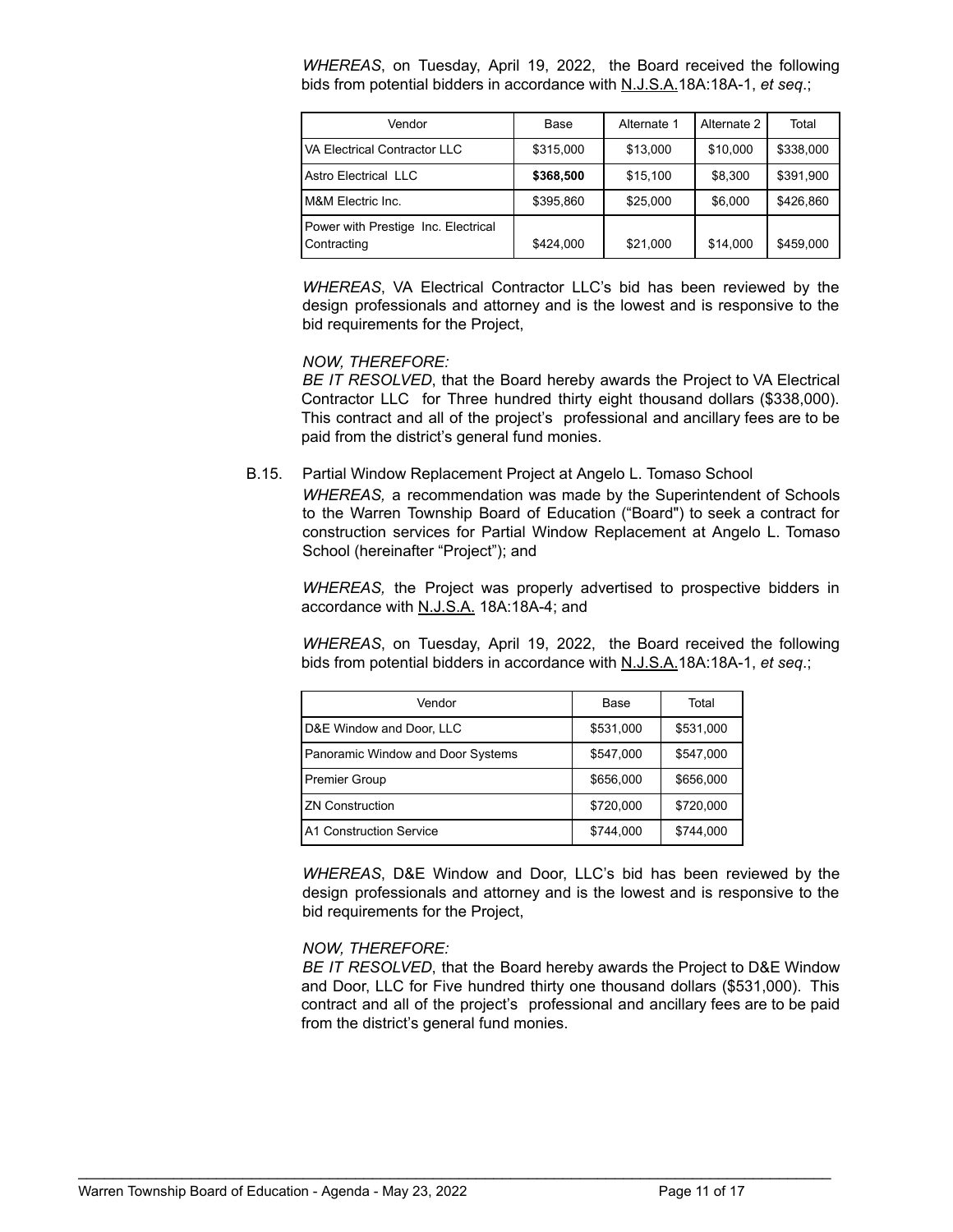*WHEREAS*, on Tuesday, April 19, 2022, the Board received the following bids from potential bidders in accordance with N.J.S.A.18A:18A-1, *et seq*.;

| Vendor                                             | Base      | Alternate 1 | Alternate 2 | Total     |
|----------------------------------------------------|-----------|-------------|-------------|-----------|
| VA Electrical Contractor LLC                       | \$315,000 | \$13,000    | \$10,000    | \$338,000 |
| Astro Electrical LLC                               | \$368,500 | \$15,100    | \$8,300     | \$391,900 |
| M&M Electric Inc.                                  | \$395.860 | \$25,000    | \$6.000     | \$426.860 |
| Power with Prestige Inc. Electrical<br>Contracting | \$424,000 | \$21,000    | \$14,000    | \$459,000 |

*WHEREAS*, VA Electrical Contractor LLC's bid has been reviewed by the design professionals and attorney and is the lowest and is responsive to the bid requirements for the Project,

## *NOW, THEREFORE:*

*BE IT RESOLVED*, that the Board hereby awards the Project to VA Electrical Contractor LLC for Three hundred thirty eight thousand dollars (\$338,000). This contract and all of the project's professional and ancillary fees are to be paid from the district's general fund monies.

B.15. Partial Window Replacement Project at Angelo L. Tomaso School

*WHEREAS,* a recommendation was made by the Superintendent of Schools to the Warren Township Board of Education ("Board") to seek a contract for construction services for Partial Window Replacement at Angelo L. Tomaso School (hereinafter "Project"); and

*WHEREAS,* the Project was properly advertised to prospective bidders in accordance with N.J.S.A. 18A:18A-4; and

*WHEREAS*, on Tuesday, April 19, 2022, the Board received the following bids from potential bidders in accordance with N.J.S.A.18A:18A-1, *et seq*.;

| Vendor                            | Base      | Total     |
|-----------------------------------|-----------|-----------|
| D&E Window and Door, LLC          | \$531,000 | \$531,000 |
| Panoramic Window and Door Systems | \$547,000 | \$547,000 |
| <b>Premier Group</b>              | \$656,000 | \$656,000 |
| <b>ZN Construction</b>            | \$720,000 | \$720,000 |
| A1 Construction Service           | \$744,000 | \$744,000 |

*WHEREAS*, D&E Window and Door, LLC's bid has been reviewed by the design professionals and attorney and is the lowest and is responsive to the bid requirements for the Project,

## *NOW, THEREFORE:*

*BE IT RESOLVED*, that the Board hereby awards the Project to D&E Window and Door, LLC for Five hundred thirty one thousand dollars (\$531,000). This contract and all of the project's professional and ancillary fees are to be paid from the district's general fund monies.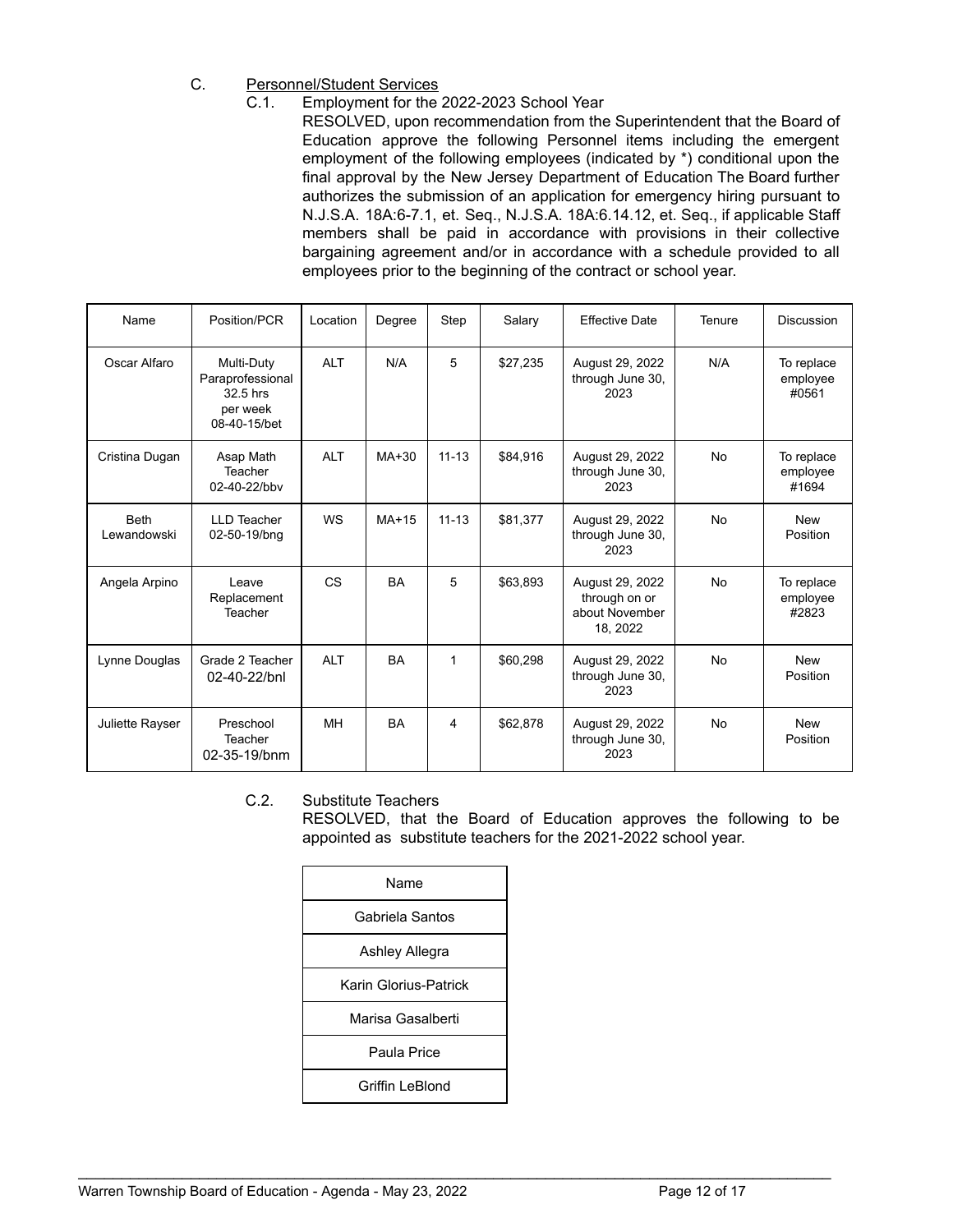- C. Personnel/Student Services
	- C.1. Employment for the 2022-2023 School Year
		- RESOLVED, upon recommendation from the Superintendent that the Board of Education approve the following Personnel items including the emergent employment of the following employees (indicated by \*) conditional upon the final approval by the New Jersey Department of Education The Board further authorizes the submission of an application for emergency hiring pursuant to N.J.S.A. 18A:6-7.1, et. Seq., N.J.S.A. 18A:6.14.12, et. Seq., if applicable Staff members shall be paid in accordance with provisions in their collective bargaining agreement and/or in accordance with a schedule provided to all employees prior to the beginning of the contract or school year.

| Name                       | Position/PCR                                                           | Location   | Degree    | Step      | Salary   | <b>Effective Date</b>                                          | Tenure    | Discussion                      |
|----------------------------|------------------------------------------------------------------------|------------|-----------|-----------|----------|----------------------------------------------------------------|-----------|---------------------------------|
| Oscar Alfaro               | Multi-Duty<br>Paraprofessional<br>32.5 hrs<br>per week<br>08-40-15/bet | <b>ALT</b> | N/A       | 5         | \$27,235 | August 29, 2022<br>through June 30,<br>2023                    | N/A       | To replace<br>employee<br>#0561 |
| Cristina Dugan             | Asap Math<br>Teacher<br>02-40-22/bbv                                   | <b>ALT</b> | MA+30     | $11 - 13$ | \$84,916 | August 29, 2022<br>through June 30,<br>2023                    | <b>No</b> | To replace<br>employee<br>#1694 |
| <b>Beth</b><br>Lewandowski | <b>LLD Teacher</b><br>02-50-19/bng                                     | <b>WS</b>  | $MA+15$   | $11 - 13$ | \$81,377 | August 29, 2022<br>through June 30,<br>2023                    | <b>No</b> | <b>New</b><br>Position          |
| Angela Arpino              | Leave<br>Replacement<br>Teacher                                        | <b>CS</b>  | <b>BA</b> | 5         | \$63.893 | August 29, 2022<br>through on or<br>about November<br>18, 2022 | No        | To replace<br>employee<br>#2823 |
| Lynne Douglas              | Grade 2 Teacher<br>02-40-22/bnl                                        | <b>ALT</b> | <b>BA</b> | 1         | \$60,298 | August 29, 2022<br>through June 30,<br>2023                    | <b>No</b> | <b>New</b><br>Position          |
| Juliette Rayser            | Preschool<br>Teacher<br>02-35-19/bnm                                   | MH         | <b>BA</b> | 4         | \$62,878 | August 29, 2022<br>through June 30,<br>2023                    | <b>No</b> | <b>New</b><br>Position          |

# C.2. Substitute Teachers

RESOLVED, that the Board of Education approves the following to be appointed as substitute teachers for the 2021-2022 school year.

| Name                  |
|-----------------------|
| Gabriela Santos       |
| Ashley Allegra        |
| Karin Glorius-Patrick |
| Marisa Gasalberti     |
| Paula Price           |
| Griffin LeBlond       |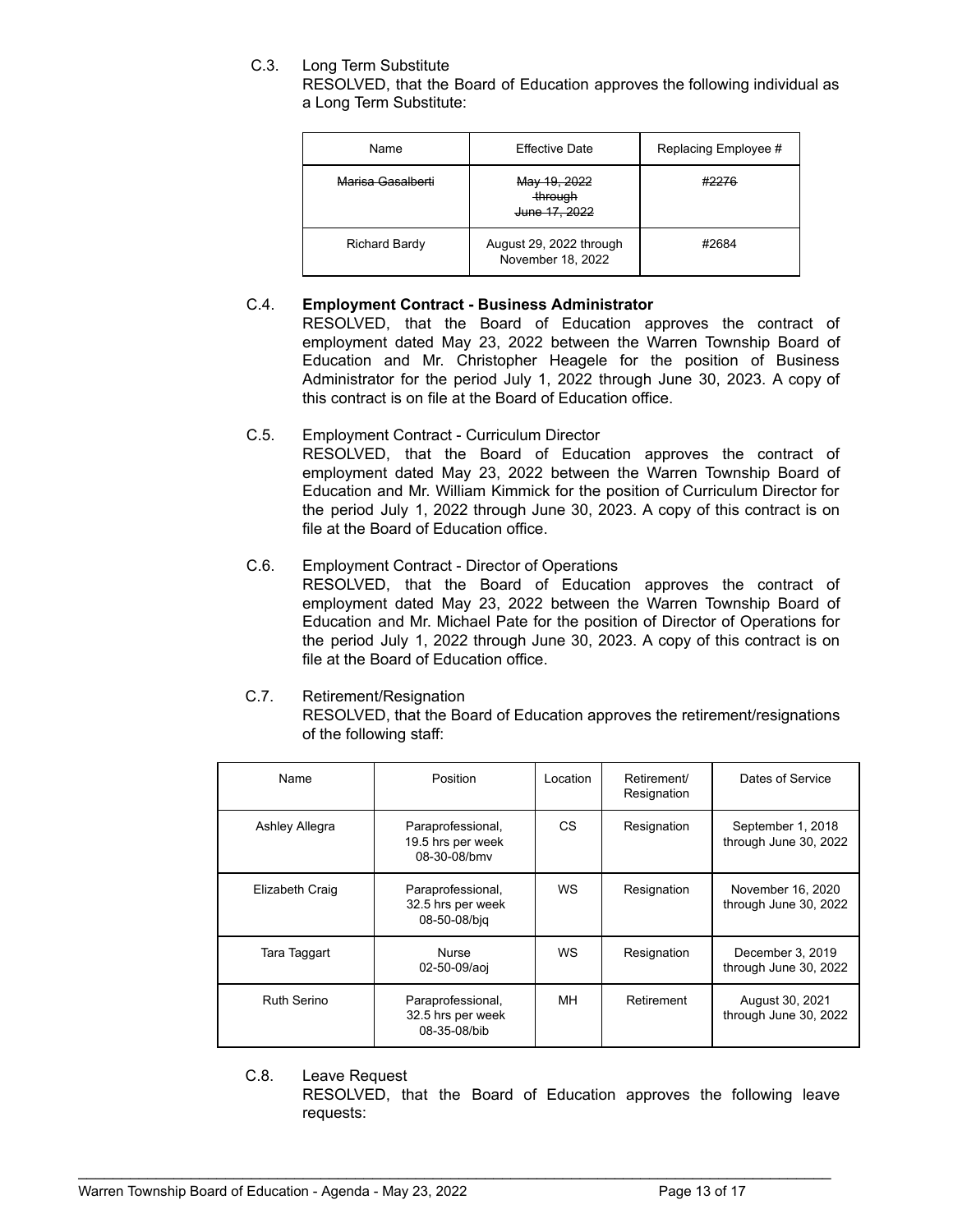# C.3. Long Term Substitute

RESOLVED, that the Board of Education approves the following individual as a Long Term Substitute:

| Name              | <b>Effective Date</b>                        | Replacing Employee # |
|-------------------|----------------------------------------------|----------------------|
| Marisa Gasalberti | May 19, 2022<br>through<br>June 17, 2022     | #2276                |
| Richard Bardy     | August 29, 2022 through<br>November 18, 2022 | #2684                |

# C.4. **Employment Contract - Business Administrator**

RESOLVED, that the Board of Education approves the contract of employment dated May 23, 2022 between the Warren Township Board of Education and Mr. Christopher Heagele for the position of Business Administrator for the period July 1, 2022 through June 30, 2023. A copy of this contract is on file at the Board of Education office.

C.5. Employment Contract - Curriculum Director

RESOLVED, that the Board of Education approves the contract of employment dated May 23, 2022 between the Warren Township Board of Education and Mr. William Kimmick for the position of Curriculum Director for the period July 1, 2022 through June 30, 2023. A copy of this contract is on file at the Board of Education office.

- C.6. Employment Contract Director of Operations RESOLVED, that the Board of Education approves the contract of employment dated May 23, 2022 between the Warren Township Board of Education and Mr. Michael Pate for the position of Director of Operations for the period July 1, 2022 through June 30, 2023. A copy of this contract is on file at the Board of Education office.
- C.7. Retirement/Resignation

RESOLVED, that the Board of Education approves the retirement/resignations of the following staff:

| Name               | Position                                               | Location  | Retirement/<br>Resignation | Dates of Service                           |
|--------------------|--------------------------------------------------------|-----------|----------------------------|--------------------------------------------|
| Ashley Allegra     | Paraprofessional,<br>19.5 hrs per week<br>08-30-08/bmv | <b>CS</b> | Resignation                | September 1, 2018<br>through June 30, 2022 |
| Elizabeth Craig    | Paraprofessional,<br>32.5 hrs per week<br>08-50-08/bjq | <b>WS</b> | Resignation                | November 16, 2020<br>through June 30, 2022 |
| Tara Taggart       | <b>Nurse</b><br>02-50-09/aoj                           | <b>WS</b> | Resignation                | December 3, 2019<br>through June 30, 2022  |
| <b>Ruth Serino</b> | Paraprofessional,<br>32.5 hrs per week<br>08-35-08/bib | MН        | Retirement                 | August 30, 2021<br>through June 30, 2022   |

C.8. Leave Request

RESOLVED, that the Board of Education approves the following leave requests: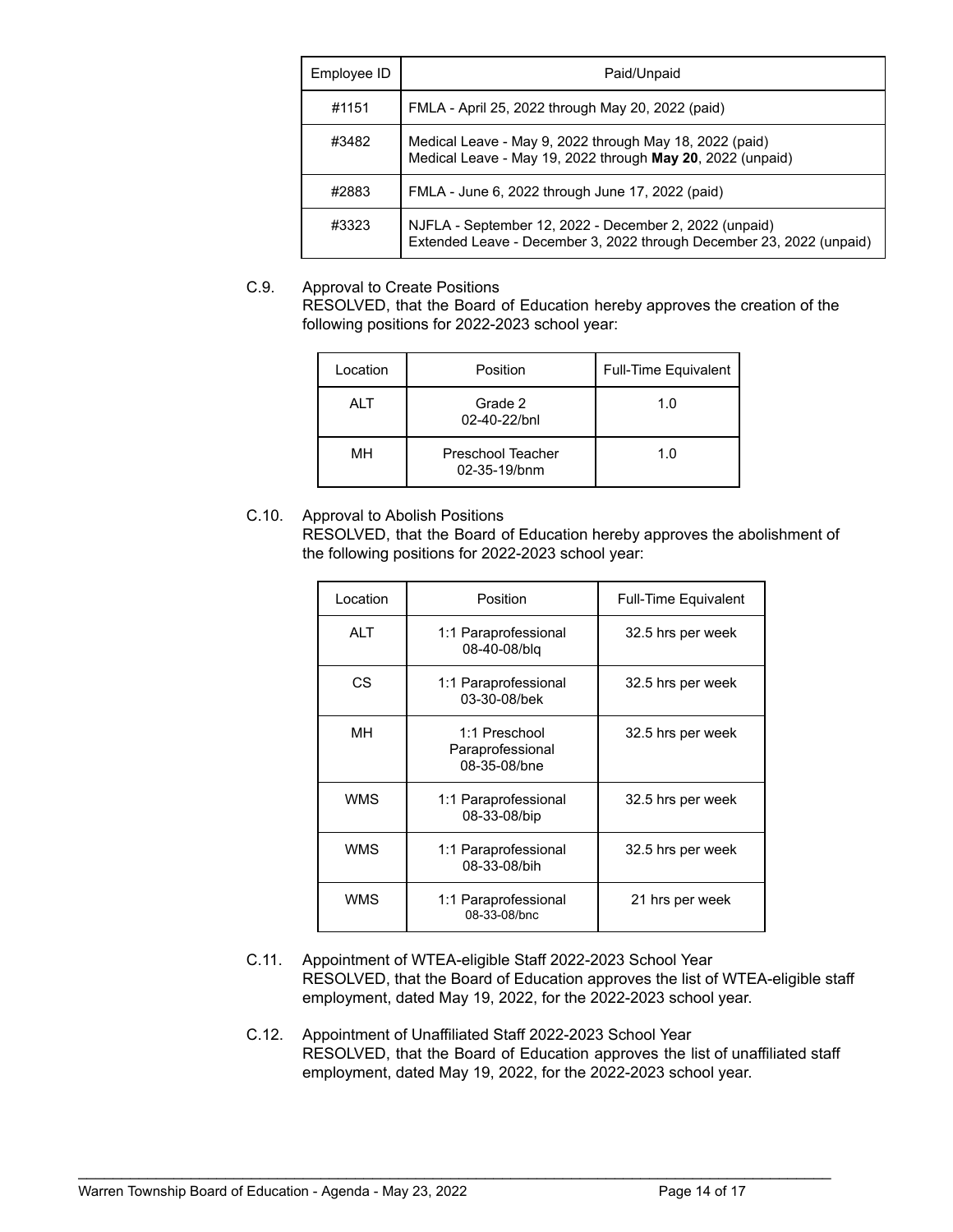| Employee ID | Paid/Unpaid                                                                                                                    |
|-------------|--------------------------------------------------------------------------------------------------------------------------------|
| #1151       | FMLA - April 25, 2022 through May 20, 2022 (paid)                                                                              |
| #3482       | Medical Leave - May 9, 2022 through May 18, 2022 (paid)<br>Medical Leave - May 19, 2022 through May 20, 2022 (unpaid)          |
| #2883       | FMLA - June 6, 2022 through June 17, 2022 (paid)                                                                               |
| #3323       | NJFLA - September 12, 2022 - December 2, 2022 (unpaid)<br>Extended Leave - December 3, 2022 through December 23, 2022 (unpaid) |

# C.9. Approval to Create Positions

RESOLVED, that the Board of Education hereby approves the creation of the following positions for 2022-2023 school year:

| Location | Position                          | <b>Full-Time Equivalent</b> |
|----------|-----------------------------------|-----------------------------|
| ALT      | Grade 2<br>02-40-22/bnl           | 1.0                         |
| MН       | Preschool Teacher<br>02-35-19/bnm | 1.0                         |

# C.10. Approval to Abolish Positions

RESOLVED, that the Board of Education hereby approves the abolishment of the following positions for 2022-2023 school year:

| Location   | Position                                          | <b>Full-Time Equivalent</b> |
|------------|---------------------------------------------------|-----------------------------|
| <b>ALT</b> | 1:1 Paraprofessional<br>08-40-08/blg              | 32.5 hrs per week           |
| CS.        | 1:1 Paraprofessional<br>03-30-08/bek              | 32.5 hrs per week           |
| MН         | 1:1 Preschool<br>Paraprofessional<br>08-35-08/bne | 32.5 hrs per week           |
| <b>WMS</b> | 1:1 Paraprofessional<br>08-33-08/bip              | 32.5 hrs per week           |
| <b>WMS</b> | 1:1 Paraprofessional<br>08-33-08/bih              | 32.5 hrs per week           |
| <b>WMS</b> | 1:1 Paraprofessional<br>08-33-08/bnc              | 21 hrs per week             |

- C.11. Appointment of WTEA-eligible Staff 2022-2023 School Year RESOLVED, that the Board of Education approves the list of WTEA-eligible staff employment, dated May 19, 2022, for the 2022-2023 school year.
- C.12. Appointment of Unaffiliated Staff 2022-2023 School Year RESOLVED, that the Board of Education approves the list of unaffiliated staff employment, dated May 19, 2022, for the 2022-2023 school year.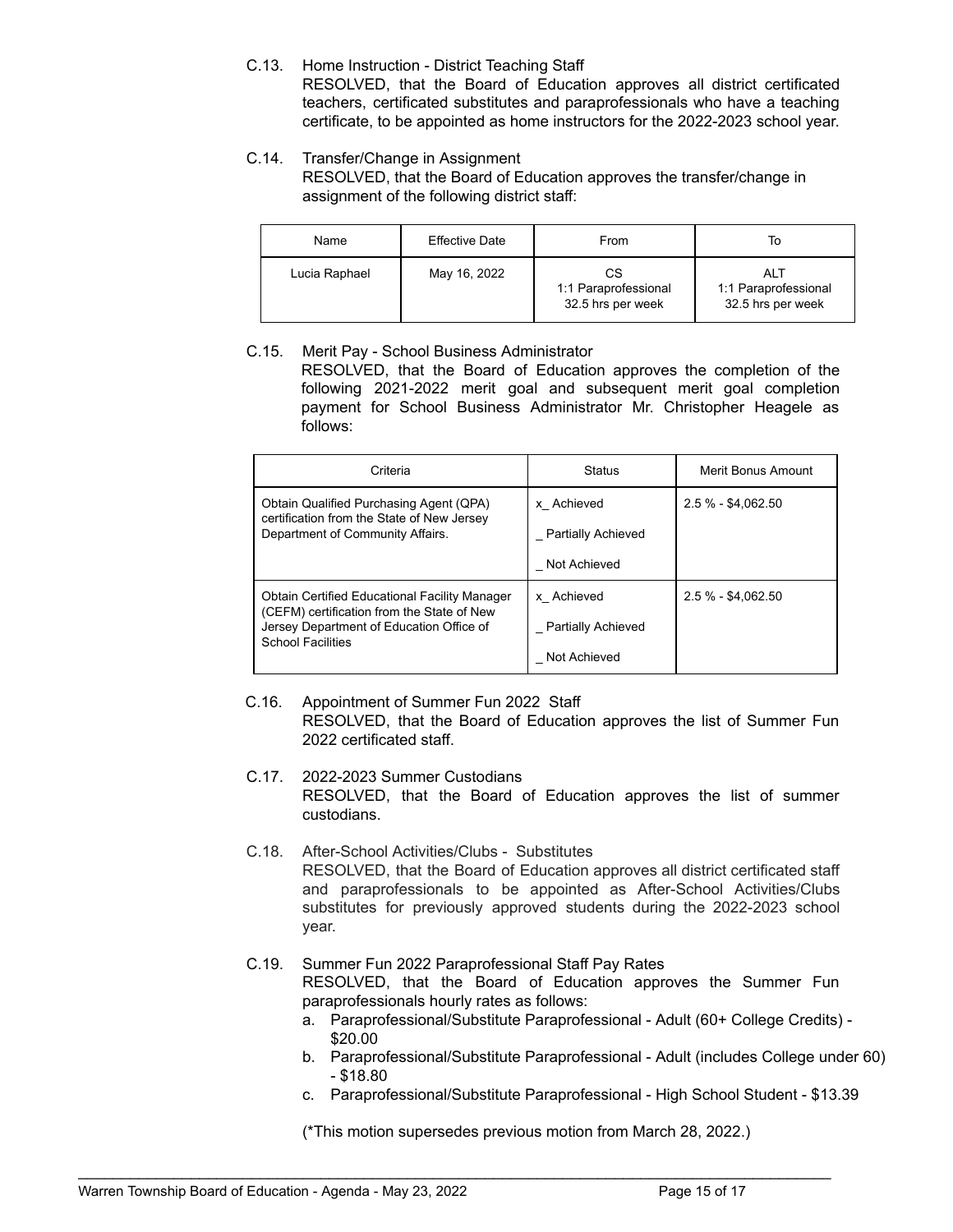C.13. Home Instruction - District Teaching Staff

RESOLVED, that the Board of Education approves all district certificated teachers, certificated substitutes and paraprofessionals who have a teaching certificate, to be appointed as home instructors for the 2022-2023 school year.

# C.14. Transfer/Change in Assignment

RESOLVED, that the Board of Education approves the transfer/change in assignment of the following district staff:

| Name          | <b>Effective Date</b> | From                                            | To                                               |
|---------------|-----------------------|-------------------------------------------------|--------------------------------------------------|
| Lucia Raphael | May 16, 2022          | СS<br>1:1 Paraprofessional<br>32.5 hrs per week | ALT<br>1:1 Paraprofessional<br>32.5 hrs per week |

# C.15. Merit Pay - School Business Administrator

RESOLVED, that the Board of Education approves the completion of the following 2021-2022 merit goal and subsequent merit goal completion payment for School Business Administrator Mr. Christopher Heagele as follows:

| Criteria                                                                                                                                                                   | <b>Status</b>                                           | Merit Bonus Amount   |
|----------------------------------------------------------------------------------------------------------------------------------------------------------------------------|---------------------------------------------------------|----------------------|
| Obtain Qualified Purchasing Agent (QPA)<br>certification from the State of New Jersey<br>Department of Community Affairs.                                                  | x Achieved<br><b>Partially Achieved</b><br>Not Achieved | $2.5 \% - $4.062.50$ |
| <b>Obtain Certified Educational Facility Manager</b><br>(CEFM) certification from the State of New<br>Jersey Department of Education Office of<br><b>School Facilities</b> | x Achieved<br><b>Partially Achieved</b><br>Not Achieved | $2.5 \% - $4.062.50$ |

# C.16. Appointment of Summer Fun 2022 Staff RESOLVED, that the Board of Education approves the list of Summer Fun 2022 certificated staff.

- C.17. 2022-2023 Summer Custodians RESOLVED, that the Board of Education approves the list of summer custodians.
- C.18. After-School Activities/Clubs Substitutes RESOLVED, that the Board of Education approves all district certificated staff and paraprofessionals to be appointed as After-School Activities/Clubs substitutes for previously approved students during the 2022-2023 school year.

# C.19. Summer Fun 2022 Paraprofessional Staff Pay Rates RESOLVED, that the Board of Education approves the Summer Fun paraprofessionals hourly rates as follows:

- a. Paraprofessional/Substitute Paraprofessional Adult (60+ College Credits) \$20.00
- b. Paraprofessional/Substitute Paraprofessional Adult (includes College under 60) - \$18.80
- c. Paraprofessional/Substitute Paraprofessional High School Student \$13.39

(\*This motion supersedes previous motion from March 28, 2022.)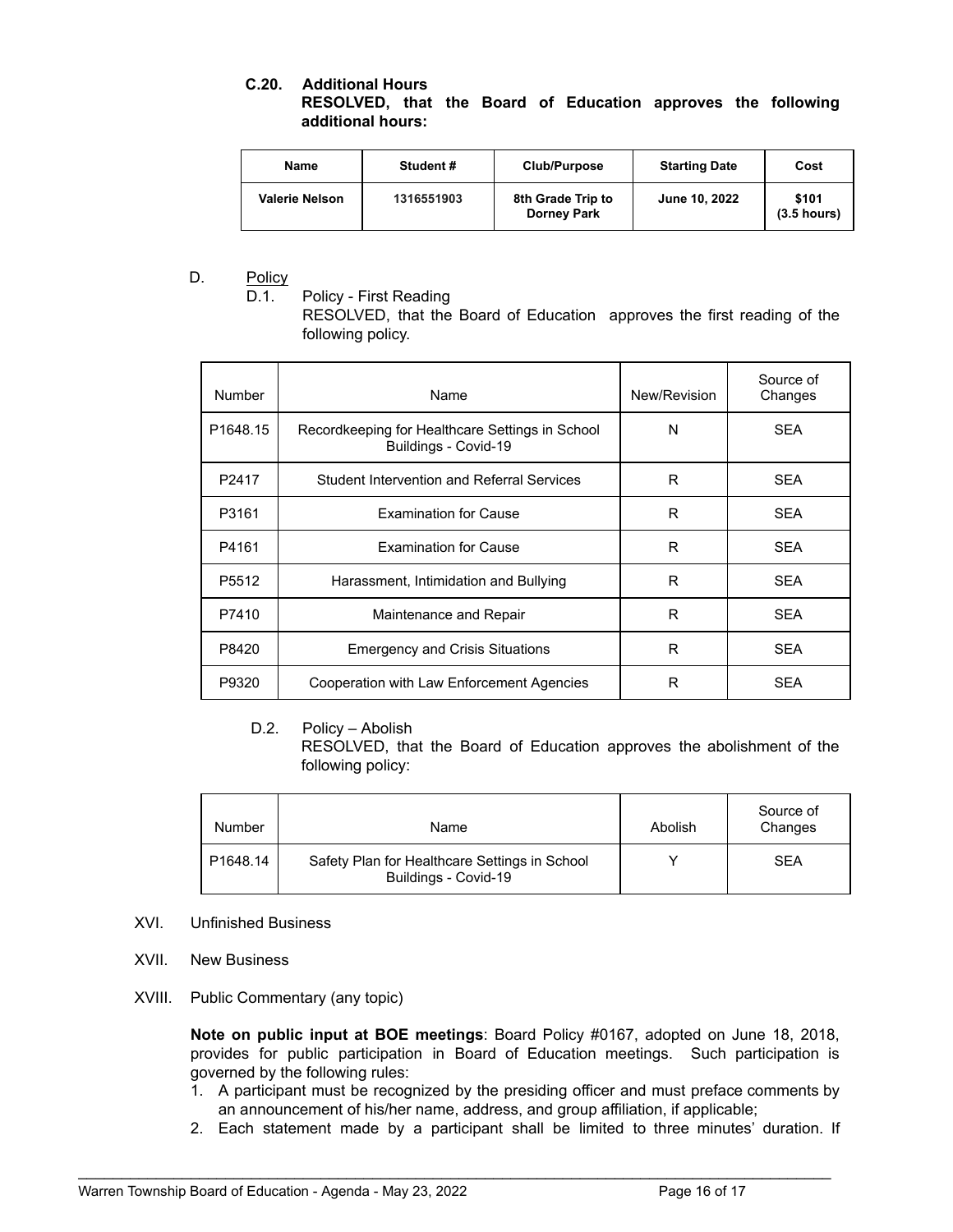## **C.20. Additional Hours RESOLVED, that the Board of Education approves the following additional hours:**

| Name                  | Student#   | Club/Purpose                            | <b>Starting Date</b> | Cost                   |
|-----------------------|------------|-----------------------------------------|----------------------|------------------------|
| <b>Valerie Nelson</b> | 1316551903 | 8th Grade Trip to<br><b>Dorney Park</b> | June 10, 2022        | \$101<br>$(3.5$ hours) |

# D. Policy

D.1. Policy - First Reading

RESOLVED, that the Board of Education approves the first reading of the following policy.

| Number               | Name                                                                    | New/Revision | Source of<br>Changes |
|----------------------|-------------------------------------------------------------------------|--------------|----------------------|
| P <sub>1648.15</sub> | Recordkeeping for Healthcare Settings in School<br>Buildings - Covid-19 | N            | <b>SEA</b>           |
| P <sub>2417</sub>    | <b>Student Intervention and Referral Services</b>                       | R            | <b>SEA</b>           |
| P3161                | <b>Examination for Cause</b>                                            | R            | <b>SEA</b>           |
| P4161                | <b>Examination for Cause</b>                                            | R            | <b>SEA</b>           |
| P <sub>5512</sub>    | Harassment, Intimidation and Bullying                                   | R            | <b>SEA</b>           |
| P7410                | Maintenance and Repair                                                  | R            | <b>SEA</b>           |
| P8420                | <b>Emergency and Crisis Situations</b>                                  | R            | <b>SEA</b>           |
| P9320                | Cooperation with Law Enforcement Agencies                               | R            | <b>SEA</b>           |

# D.2. Policy – Abolish

RESOLVED, that the Board of Education approves the abolishment of the following policy:

| <b>Number</b>        | Name                                                                  | Abolish | Source of<br>Changes |
|----------------------|-----------------------------------------------------------------------|---------|----------------------|
| P <sub>1648.14</sub> | Safety Plan for Healthcare Settings in School<br>Buildings - Covid-19 |         | <b>SEA</b>           |

## XVI. Unfinished Business

- XVII. New Business
- XVIII. Public Commentary (any topic)

**Note on public input at BOE meetings**: Board Policy #0167, adopted on June 18, 2018, provides for public participation in Board of Education meetings. Such participation is governed by the following rules:

- 1. A participant must be recognized by the presiding officer and must preface comments by an announcement of his/her name, address, and group affiliation, if applicable;
- 2. Each statement made by a participant shall be limited to three minutes' duration. If